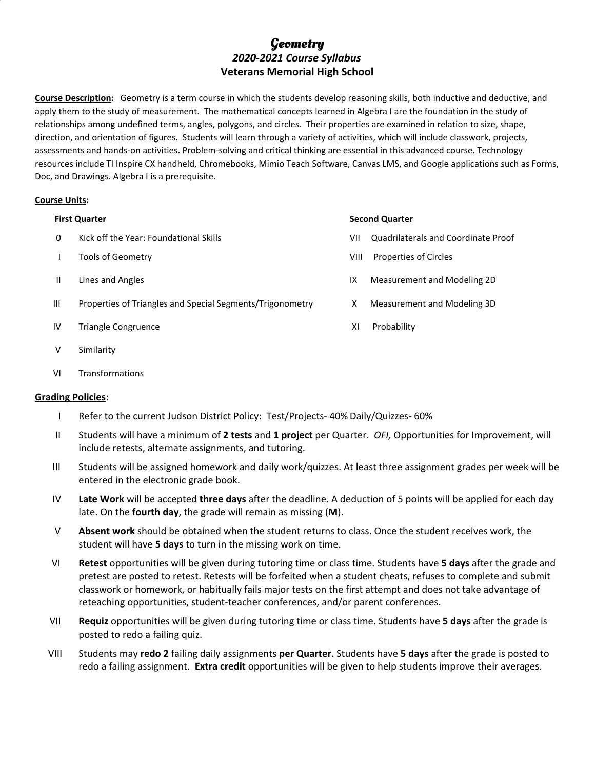# **Geometry** *2020-2021 Course Syllabus* **Veterans Memorial High School**

**Course Description:** Geometry is a term course in which the students develop reasoning skills, both inductive and deductive, and apply them to the study of measurement. The mathematical concepts learned in Algebra I are the foundation in the study of relationships among undefined terms, angles, polygons, and circles. Their properties are examined in relation to size, shape, direction, and orientation of figures. Students will learn through a variety of activities, which will include classwork, projects, assessments and hands-on activities. Problem-solving and critical thinking are essential in this advanced course. Technology resources include TI Inspire CX handheld, Chromebooks, Mimio Teach Software, Canvas LMS, and Google applications such as Forms, Doc, and Drawings. Algebra I is a prerequisite.

## **Course Units:**

- 
- 
- 
- III Properties of Triangles and Special Segments/Trigonometry X Measurement and Modeling 3D
- IV Triangle Congruence The Congruence Congress of Congress and Congress of Congress of Congress and Congress of Congress and Congress and Congress and Congress and Congress and Congress and Congress and Congress and Congre
- V Similarity
- VI Transformations

## **Grading Policies**:

- I Refer to the current Judson District Policy: Test/Projects- 40% Daily/Quizzes- 60%
- II Students will have a minimum of **2 tests** and **1 project** per Quarter. *OFI,* Opportunities for Improvement, will include retests, alternate assignments, and tutoring.
- III Students will be assigned homework and daily work/quizzes. At least three assignment grades per week will be entered in the electronic grade book.
- IV **Late Work** will be accepted **three days** after the deadline. A deduction of 5 points will be applied for each day late. On the **fourth day**, the grade will remain as missing (**M**).
- V **Absent work** should be obtained when the student returns to class. Once the student receives work, the student will have **5 days** to turn in the missing work on time.
- VI **Retest** opportunities will be given during tutoring time or class time. Students have **5 days** after the grade and pretest are posted to retest. Retests will be forfeited when a student cheats, refuses to complete and submit classwork or homework, or habitually fails major tests on the first attempt and does not take advantage of reteaching opportunities, student-teacher conferences, and/or parent conferences.
- VII **Requiz** opportunities will be given during tutoring time or class time. Students have **5 days** after the grade is posted to redo a failing quiz.
- VIII Students may **redo 2** failing daily assignments **per Quarter**. Students have **5 days** after the grade is posted to redo a failing assignment. **Extra credit** opportunities will be given to help students improve their averages.

### **First Quarter Second Quarter**

- 0 Kick off the Year: Foundational Skills VII Quadrilaterals and Coordinate Proof
- **I** Tools of Geometry **VIII** Properties of Circles
- II Lines and Angles IX Measurement and Modeling 2D
	-
	-